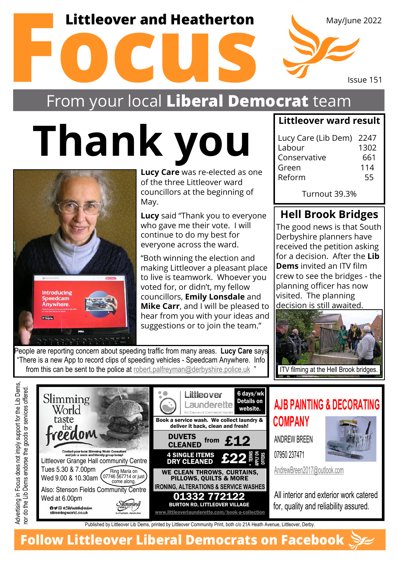### **Littleover and Heatherton**



## From your local **Liberal Democrat** team

# **Thank you**



Anywhere

Advertising in Focus does not imply support for the Lib Dems,

Advertising in Focus does not imply support for the Lib Dems,

**Lucy Care** was re-elected as one of the three Littleover ward councillors at the beginning of May.

**Lucy** said "Thank you to everyone who gave me their vote. I will continue to do my best for everyone across the ward.

"Both winning the election and making Littleover a pleasant place to live is teamwork. Whoever you voted for, or didn't, my fellow councillors, **Emily Lonsdale** and **Mike Carr**, and I will be pleased to hear from you with your ideas and suggestions or to join the team."

#### **Littleover ward result**

| Lucy Care (Lib Dem) 2247 |      |
|--------------------------|------|
| Labour                   | 1302 |
| Conservative             | 661  |
| Green                    | 114  |
| Reform                   | 55   |
|                          |      |

Turnout 39.3%

#### **Hell Brook Bridges**

The good news is that South Derbyshire planners have received the petition asking for a decision. After the **Lib Dems** invited an ITV film crew to see the bridges - the planning officer has now visited. The planning decision is still awaited.



People are reporting concern about speeding traffic from many areas. **Lucy Care** says "There is a new App to record clips of speeding vehicles - Speedcam Anywhere. Info from this can be sent to the police at [robert.palfreyman@derbyshire.police.uk](mailto:robert.palfreyman@derbyshire.police.uk)



**AJB PAINTING & DECORATING**



[AndrewBreen2017@outlook.com](mailto:AndrewBreen2017@outlook.com)

All interior and exterior work catered for, quality and reliability assured.

Published by Littleover Lib Dems, printed by Littleover Community Print, both c/o 21A Heath Avenue, Littleover, Derby.

**Follow Littleover Liberal Democrats on Facebook**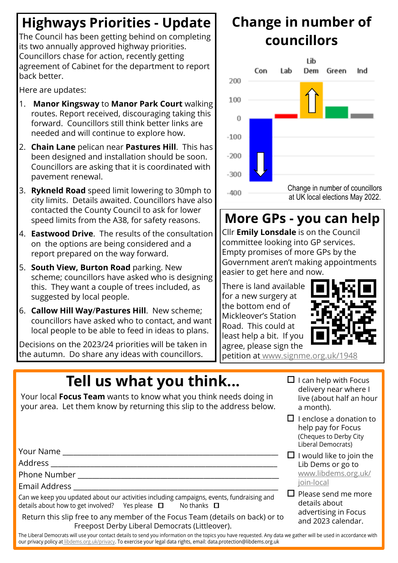### **Highways Priorities - Update**

The Council has been getting behind on completing its two annually approved highway priorities. Councillors chase for action, recently getting agreement of Cabinet for the department to report back better.

Here are updates:

- 1. **Manor Kingsway** to **Manor Park Court** walking routes. Report received, discouraging taking this forward. Councillors still think better links are needed and will continue to explore how.
- 2. **Chain Lane** pelican near **Pastures Hill**. This has been designed and installation should be soon. Councillors are asking that it is coordinated with pavement renewal.
- 3. **Rykneld Road** speed limit lowering to 30mph to city limits. Details awaited. Councillors have also contacted the County Council to ask for lower speed limits from the A38, for safety reasons.
- 4. **Eastwood Drive**. The results of the consultation on the options are being considered and a report prepared on the way forward.
- 5. **South View, Burton Road** parking. New scheme; councillors have asked who is designing this. They want a couple of trees included, as suggested by local people.
- 6. **Callow Hill Way**/**Pastures Hill**. New scheme; councillors have asked who to contact, and want local people to be able to feed in ideas to plans.

Decisions on the 2023/24 priorities will be taken in the autumn. Do share any ideas with councillors.

### **Change in number of councillors**



### **More GPs - you can help**

Cllr **Emily Lonsdale** is on the Council committee looking into GP services. Empty promises of more GPs by the Government aren't making appointments easier to get here and now.

There is land available for a new surgery at the bottom end of Mickleover's Station Road. This could at least help a bit. If you agree, please sign the



petition a[t www.signme.org.uk/1948](www.signme.org.uk/1948)

# **Tell us what you think...**

Your local **Focus Team** wants to know what you think needs doing in your area. Let them know by returning this slip to the address below.

Your Name

Address \_\_\_\_\_\_\_\_\_\_\_\_\_\_\_\_\_\_\_\_\_\_\_\_\_\_\_\_\_\_\_\_\_\_\_\_\_\_\_\_\_\_\_\_\_\_\_\_\_\_\_\_\_\_\_\_\_\_\_\_\_\_\_

Phone Number **Latter** 

Email Address \_\_\_\_\_\_\_\_\_\_\_\_\_\_\_\_\_\_\_\_\_\_\_\_\_\_\_\_\_\_\_\_\_\_\_\_\_\_\_\_\_\_\_\_\_\_\_\_\_\_\_\_\_\_\_\_\_

Can we keep you updated about our activities including campaigns, events, fundraising and details about how to get involved? Yes please  $\Box$  No thanks  $\Box$ 

Return this slip free to any member of the Focus Team (details on back) or to Freepost Derby Liberal Democrats (Littleover).

 $\Box$  I can help with Focus delivery near where I live (about half an hour a month).

- $\Box$  I enclose a donation to help pay for Focus (Cheques to Derby City Liberal Democrats)
- $\Box$  I would like to join the Lib Dems or go to [www.libdems.org.uk/](www.libdems.org.uk/join-local) [join-local](www.libdems.org.uk/join-local)
- $\Box$  Please send me more details about advertising in Focus and 2023 calendar.

The Liberal Democrats will use your contact details to send you information on the topics you have requested. Any data we gather will be used in accordance with our privacy policy a[t libdems.org.uk/privacy.]( libdems.org.uk/privacy) To exercise your legal data rights, email: data.protection@libdems.org.uk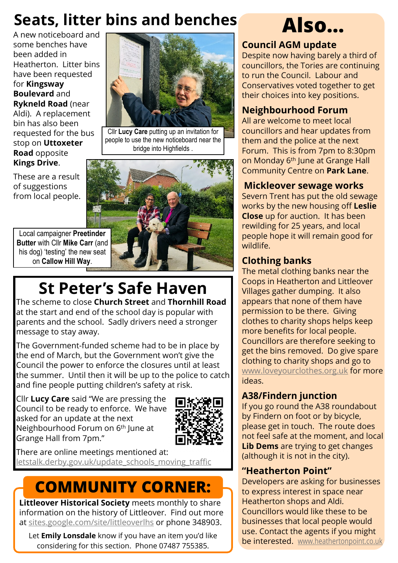### **Seats, litter bins and benches**

A new noticeboard and some benches have been added in Heatherton. Litter bins have been requested for **Kingsway Boulevard** and **Rykneld Road** (near Aldi). A replacement bin has also been requested for the bus stop on **Uttoxeter Road** opposite **Kings Drive**.

These are a result of suggestions from local people.



Cllr **Lucy Care** putting up an invitation for people to use the new noticeboard near the bridge into Highfields.



# **St Peter's Safe Haven**

The scheme to close **Church Street** and **Thornhill Road** at the start and end of the school day is popular with parents and the school. Sadly drivers need a stronger message to stay away.

The Government-funded scheme had to be in place by the end of March, but the Government won't give the Council the power to enforce the closures until at least the summer. Until then it will be up to the police to catch and fine people putting children's safety at risk.

Cllr **Lucy Care** said "We are pressing the Council to be ready to enforce. We have asked for an update at the next Neighbourhood Forum on 6th June at Grange Hall from 7pm."



There are online meetings mentioned at: [letstalk.derby.gov.uk/update\\_schools\\_moving\\_traffic](letstalk.derby.gov.uk/update_schools_moving_traffic )

# **COMMUNITY CORNER:**

**Littleover Historical Society** meets monthly to share information on the history of Littleover. Find out more at <sites.google.com/site/littleoverlhs> or phone 348903.

Let **Emily Lonsdale** know if you have an item you'd like considering for this section. Phone 07487 755385.

# **Also…**

#### **Council AGM update**

Despite now having barely a third of councillors, the Tories are continuing to run the Council. Labour and Conservatives voted together to get their choices into key positions.

#### **Neighbourhood Forum**

All are welcome to meet local councillors and hear updates from them and the police at the next Forum. This is from 7pm to 8:30pm on Monday 6<sup>th</sup> June at Grange Hall Community Centre on **Park Lane**.

#### **Mickleover sewage works**

Severn Trent has put the old sewage works by the new housing off **Leslie Close** up for auction. It has been rewilding for 25 years, and local people hope it will remain good for wildlife.

#### **Clothing banks**

The metal clothing banks near the Coops in Heatherton and Littleover Villages gather dumping. It also appears that none of them have permission to be there. Giving clothes to charity shops helps keep more benefits for local people. Councillors are therefore seeking to get the bins removed. Do give spa[r](www.loveyourclothes.org.uk)e clothing to charity shops and go to <www.loveyourclothes.org.uk>for more ideas.

#### **A38/Findern junction**

If you go round the A38 roundabout by Findern on foot or by bicycle, please get in touch. The route does not feel safe at the moment, and local **Lib Dems** are trying to get changes (although it is not in the city).

#### **"Heatherton Point"**

Developers are asking for businesses to express interest in space near Heatherton shops and Aldi. Councillors would like these to be businesses that local people would use. Contact the agents if you might be interested.<www.heathertonpoint.co.uk>